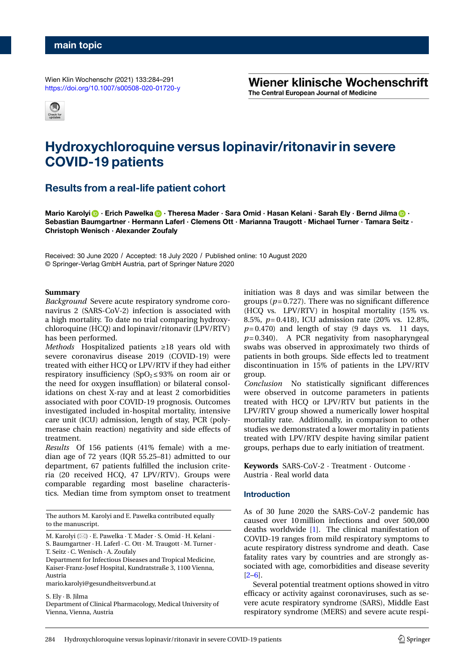Wien Klin Wochenschr (2021) 133:284–291 <https://doi.org/10.1007/s00508-020-01720-y> Wiener klinische Wochenschrift The Central European Journal of Medicine



# **Hydroxychloroquine versus lopinavir/ritonavir in severe COVID-19 patients**

## **Results from a real-life patient cohort**

**Mario Karolyi ·** Erich Pawelka **·** Theresa Mader · Sara Omid · Hasan Kelani · Sarah Ely · Bernd Jilma **· Sebastian Baumgartner · Hermann Laferl · Clemens Ott · Marianna Traugott · Michael Turner · Tamara Seitz · Christoph Wenisch · Alexander Zoufaly**

Received: 30 June 2020 / Accepted: 18 July 2020 / Published online: 10 August 2020 © Springer-Verlag GmbH Austria, part of Springer Nature 2020

#### **Summary**

*Background* Severe acute respiratory syndrome coronavirus 2 (SARS-CoV-2) infection is associated with a high mortality. To date no trial comparing hydroxychloroquine (HCQ) and lopinavir/ritonavir (LPV/RTV) has been performed.

*Methods* Hospitalized patients ≥18 years old with severe coronavirus disease 2019 (COVID-19) were treated with either HCQ or LPV/RTV if they had either respiratory insufficiency ( $SpO<sub>2</sub> ≤ 93%$  on room air or the need for oxygen insufflation) or bilateral consolidations on chest X-ray and at least 2 comorbidities associated with poor COVID-19 prognosis. Outcomes investigated included in-hospital mortality, intensive care unit (ICU) admission, length of stay, PCR (polymerase chain reaction) negativity and side effects of treatment.

*Results* Of 156 patients (41% female) with a median age of 72 years (IQR 55.25–81) admitted to our department, 67 patients fulfilled the inclusion criteria (20 received HCQ, 47 LPV/RTV). Groups were comparable regarding most baseline characteristics. Median time from symptom onset to treatment

The authors M. Karolyi and E. Pawelka contributed equally to the manuscript.

Department for Infectious Diseases and Tropical Medicine, Kaiser-Franz-Josef Hospital, Kundratstraße 3, 1100 Vienna, Austria

mario.karolyi@gesundheitsverbund.at

S. Ely · B. Jilma

Department of Clinical Pharmacology, Medical University of Vienna, Vienna, Austria

initiation was 8 days and was similar between the groups  $(p= 0.727)$ . There was no significant difference (HCQ vs. LPV/RTV) in hospital mortality (15% vs. 8.5%, *p*= 0.418), ICU admission rate (20% vs. 12.8%,  $p=0.470$  and length of stay (9 days vs. 11 days, *p*= 0.340). A PCR negativity from nasopharyngeal swabs was observed in approximately two thirds of patients in both groups. Side effects led to treatment discontinuation in 15% of patients in the LPV/RTV group.

*Conclusion* No statistically significant differences were observed in outcome parameters in patients treated with HCQ or LPV/RTV but patients in the LPV/RTV group showed a numerically lower hospital mortality rate. Additionally, in comparison to other studies we demonstrated a lower mortality in patients treated with LPV/RTV despite having similar patient groups, perhaps due to early initiation of treatment.

**Keywords** SARS-CoV-2 · Treatment · Outcome · Austria · Real world data

## **Introduction**

As of 30 June 2020 the SARS-CoV-2 pandemic has caused over 10million infections and over 500,000 deaths worldwide [\[1\]](#page-6-0). The clinical manifestation of COVID-19 ranges from mild respiratory symptoms to acute respiratory distress syndrome and death. Case fatality rates vary by countries and are strongly associated with age, comorbidities and disease severity  $[2-6]$  $[2-6]$ .

Several potential treatment options showed in vitro efficacy or activity against coronaviruses, such as severe acute respiratory syndrome (SARS), Middle East respiratory syndrome (MERS) and severe acute respi-

M. Karolyi ( $\boxtimes$ ) · E. Pawelka · T. Mader · S. Omid · H. Kelani · S. Baumgartner · H. Laferl · C. Ott · M. Traugott · M. Turner · T. Seitz · C. Wenisch · A. Zoufaly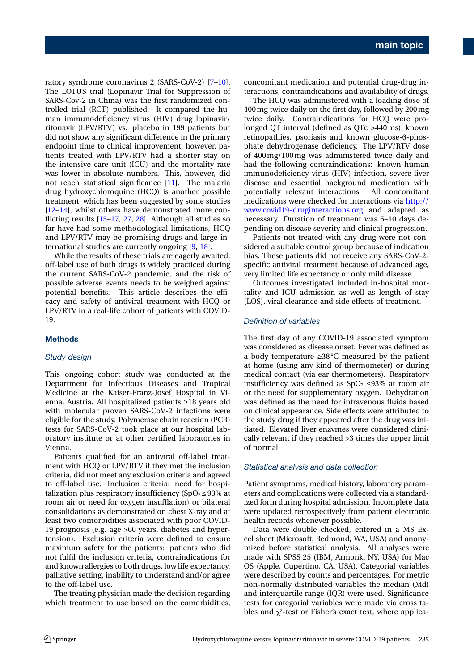ratory syndrome coronavirus 2 (SARS-CoV-2) [\[7](#page-6-3)[–10\]](#page-6-4). The LOTUS trial (Lopinavir Trial for Suppression of SARS-Cov-2 in China) was the first randomized controlled trial (RCT) published. It compared the human immunodeficiency virus (HIV) drug lopinavir/ ritonavir (LPV/RTV) vs. placebo in 199 patients but did not show any significant difference in the primary endpoint time to clinical improvement; however, patients treated with LPV/RTV had a shorter stay on the intensive care unit (ICU) and the mortality rate was lower in absolute numbers. This, however, did not reach statistical significance [\[11\]](#page-6-5). The malaria drug hydroxychloroquine (HCQ) is another possible treatment, which has been suggested by some studies [\[12–](#page-6-6)[14\]](#page-6-7), whilst others have demonstrated more conflicting results [\[15](#page-6-8)[–17,](#page-6-9) [27,](#page-6-10) [28\]](#page-6-11). Although all studies so far have had some methodological limitations, HCQ and LPV/RTV may be promising drugs and large international studies are currently ongoing [\[9,](#page-6-12) [18\]](#page-6-13).

While the results of these trials are eagerly awaited, off-label use of both drugs is widely practiced during the current SARS-CoV-2 pandemic, and the risk of possible adverse events needs to be weighed against potential benefits. This article describes the efficacy and safety of antiviral treatment with HCQ or LPV/RTV in a real-life cohort of patients with COVID-19.

## **Methods**

## *Study design*

This ongoing cohort study was conducted at the Department for Infectious Diseases and Tropical Medicine at the Kaiser-Franz-Josef Hospital in Vienna, Austria. All hospitalized patients ≥18 years old with molecular proven SARS-CoV-2 infections were eligible for the study. Polymerase chain reaction (PCR) tests for SARS-CoV-2 took place at our hospital laboratory institute or at other certified laboratories in Vienna.

Patients qualified for an antiviral off-label treatment with HCQ or LPV/RTV if they met the inclusion criteria, did not meet any exclusion criteria and agreed to off-label use. Inclusion criteria: need for hospitalization plus respiratory insufficiency (SpO $_2$  ≤ 93% at room air or need for oxygen insufflation) or bilateral consolidations as demonstrated on chest X-ray and at least two comorbidities associated with poor COVID-19 prognosis (e.g. age >60 years, diabetes and hypertension). Exclusion criteria were defined to ensure maximum safety for the patients: patients who did not fulfil the inclusion criteria, contraindications for and known allergies to both drugs, low life expectancy, palliative setting, inability to understand and/or agree to the off-label use.

The treating physician made the decision regarding which treatment to use based on the comorbidities, concomitant medication and potential drug-drug interactions, contraindications and availability of drugs.

The HCQ was administered with a loading dose of 400mg twice daily on the first day, followed by 200mg twice daily. Contraindications for HCQ were prolonged QT interval (defined as QTc >440ms), known retinopathies, psoriasis and known glucose-6-phosphate dehydrogenase deficiency. The LPV/RTV dose of 400mg/100mg was administered twice daily and had the following contraindications: known human immunodeficiency virus (HIV) infection, severe liver disease and essential background medication with potentially relevant interactions. All concomitant medications were checked for interactions via [http://](http://www.covid19-druginteractions.org) [www.covid19-druginteractions.org](http://www.covid19-druginteractions.org) and adapted as necessary. Duration of treatment was 5–10 days depending on disease severity and clinical progression.

Patients not treated with any drug were not considered a suitable control group because of indication bias. These patients did not receive any SARS-CoV-2 specific antiviral treatment because of advanced age, very limited life expectancy or only mild disease.

Outcomes investigated included in-hospital mortality and ICU admission as well as length of stay (LOS), viral clearance and side effects of treatment.

#### *Definition of variables*

The first day of any COVID-19 associated symptom was considered as disease onset. Fever was defined as a body temperature ≥38 °C measured by the patient at home (using any kind of thermometer) or during medical contact (via ear thermometers). Respiratory insufficiency was defined as  $SpO<sub>2</sub> \leq 93\%$  at room air or the need for supplementary oxygen. Dehydration was defined as the need for intravenous fluids based on clinical appearance. Side effects were attributed to the study drug if they appeared after the drug was initiated. Elevated liver enzymes were considered clinically relevant if they reached >3 times the upper limit of normal.

#### *Statistical analysis and data collection*

Patient symptoms, medical history, laboratory parameters and complications were collected via a standardized form during hospital admission. Incomplete data were updated retrospectively from patient electronic health records whenever possible.

Data were double checked, entered in a MS Excel sheet (Microsoft, Redmond, WA, USA) and anonymized before statistical analysis. All analyses were made with SPSS 25 (IBM, Armonk, NY, USA) for Mac OS (Apple, Cupertino, CA, USA). Categorial variables were described by counts and percentages. For metric non-normally distributed variables the median (Md) and interquartile range (IQR) were used. Significance tests for categorial variables were made via cross tables and  $\chi^2$ -test or Fisher's exact test, where applica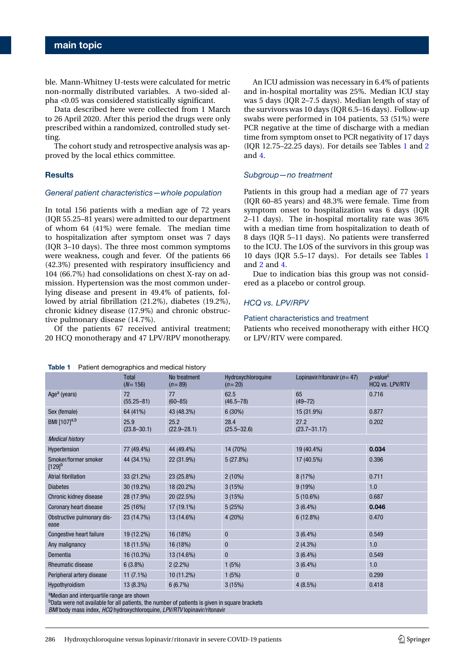ble. Mann-Whitney U-tests were calculated for metric non-normally distributed variables. A two-sided alpha <0.05 was considered statistically significant.

Data described here were collected from 1 March to 26 April 2020. After this period the drugs were only prescribed within a randomized, controlled study setting.

The cohort study and retrospective analysis was approved by the local ethics committee.

### **Results**

#### *General patient characteristics—whole population*

In total 156 patients with a median age of 72 years (IQR 55.25–81 years) were admitted to our department of whom 64 (41%) were female. The median time to hospitalization after symptom onset was 7 days (IQR 3–10 days). The three most common symptoms were weakness, cough and fever. Of the patients 66 (42.3%) presented with respiratory insufficiency and 104 (66.7%) had consolidations on chest X-ray on admission. Hypertension was the most common underlying disease and present in 49.4% of patients, followed by atrial fibrillation (21.2%), diabetes (19.2%), chronic kidney disease (17.9%) and chronic obstructive pulmonary disease (14.7%).

Of the patients 67 received antiviral treatment; 20 HCQ monotherapy and 47 LPV/RPV monotherapy.

An ICU admission was necessary in 6.4% of patients and in-hospital mortality was 25%. Median ICU stay was 5 days (IQR 2–7.5 days). Median length of stay of the survivors was 10 days (IQR 6.5–16 days). Follow-up swabs were performed in 104 patients, 53 (51%) were PCR negative at the time of discharge with a median time from symptom onset to PCR negativity of 17 days (IQR 12.75–22.25 days). For details see Tables [1](#page-2-0) and [2](#page-3-0) and [4.](#page-4-0)

#### *Subgroup—no treatment*

Patients in this group had a median age of 77 years (IQR 60–85 years) and 48.3% were female. Time from symptom onset to hospitalization was 6 days (IQR 2–11 days). The in-hospital mortality rate was 36% with a median time from hospitalization to death of 8 days (IQR 5–11 days). No patients were transferred to the ICU. The LOS of the survivors in this group was 10 days (IQR 5.5–17 days). For details see Tables [1](#page-2-0) and [2](#page-3-0) and [4.](#page-4-0)

Due to indication bias this group was not considered as a placebo or control group.

#### *HCQ vs. LPV/RPV*

#### Patient characteristics and treatment

Patients who received monotherapy with either HCQ or LPV/RTV were compared.

<span id="page-2-0"></span>**Table 1** Patient demographics and medical history

|                                         | Total<br>$(N = 156)$    | No treatment<br>$(n=89)$ | Hydroxychloroquine<br>$(n=20)$ | Lopinavir/ritonavir ( $n = 47$ ) | $p$ -value <sup>c</sup><br>HCQ vs. LPV/RTV |
|-----------------------------------------|-------------------------|--------------------------|--------------------------------|----------------------------------|--------------------------------------------|
| Age <sup>a</sup> (years)                | 72<br>$(55.25 - 81)$    | 77<br>$(60 - 85)$        | 62.5<br>$(46.5 - 78)$          | 65<br>$(49 - 72)$                | 0.716                                      |
| Sex (female)                            | 64 (41%)                | 43 (48.3%)               | $6(30\%)$                      | 15 (31.9%)                       | 0.877                                      |
| BMI [107] <sup>a,b</sup>                | 25.9<br>$(23.8 - 30.1)$ | 25.2<br>$(22.9 - 28.1)$  | 28.4<br>$(25.5 - 32.6)$        | 27.2<br>$(23.7 - 31.17)$         | 0.202                                      |
| <b>Medical history</b>                  |                         |                          |                                |                                  |                                            |
| Hypertension                            | 77 (49.4%)              | 44 (49.4%)               | 14 (70%)                       | 19 (40.4%)                       | 0.034                                      |
| Smoker/former smoker<br>$[129]^{b}$     | 44 (34.1%)              | 22 (31.9%)               | 5(27.8%)                       | 17 (40.5%)                       | 0.396                                      |
| Atrial fibrillation                     | 33 (21.2%)              | 23 (25.8%)               | $2(10\%)$                      | 8(17%)                           | 0.711                                      |
| <b>Diabetes</b>                         | 30 (19.2%)              | 18 (20.2%)               | 3(15%)                         | 9(19%)                           | 1.0                                        |
| Chronic kidney disease                  | 28 (17.9%)              | 20 (22.5%)               | 3(15%)                         | $5(10.6\%)$                      | 0.687                                      |
| Coronary heart disease                  | 25 (16%)                | 17 (19.1%)               | 5(25%)                         | $3(6.4\%)$                       | 0.046                                      |
| Obstructive pulmonary dis-<br>ease      | 23 (14.7%)              | 13 (14.6%)               | 4 (20%)                        | 6(12.8%)                         | 0.470                                      |
| Congestive heart failure                | 19 (12.2%)              | 16 (18%)                 | 0                              | $3(6.4\%)$                       | 0.549                                      |
| Any malignancy                          | 18 (11.5%)              | 16 (18%)                 | $\bf{0}$                       | $2(4.3\%)$                       | 1.0                                        |
| Dementia                                | 16 (10.3%)              | 13 (14.6%)               | $\bf{0}$                       | $3(6.4\%)$                       | 0.549                                      |
| <b>Rheumatic disease</b>                | $6(3.8\%)$              | $2(2.2\%)$               | 1(5%)                          | $3(6.4\%)$                       | 1.0                                        |
| Peripheral artery disease               | $11(7.1\%)$             | 10 (11.2%)               | 1(5%)                          | $\mathbf{0}$                     | 0.299                                      |
| Hypothyroidism                          | 13 (8.3%)               | 6(6.7%)                  | 3(15%)                         | $4(8.5\%)$                       | 0.418                                      |
| $2 + 1$ $1 + 1$ $1 + 1$ $1 + 1$ $1 + 1$ |                         |                          |                                |                                  |                                            |

aMedian and interquartile range are shown

<sup>b</sup>Data were not available for all patients, the number of patients is given in square brackets

*BMI* body mass index, *HCQ* hydroxychloroquine, *LPV/RTV* lopinavir/ritonavir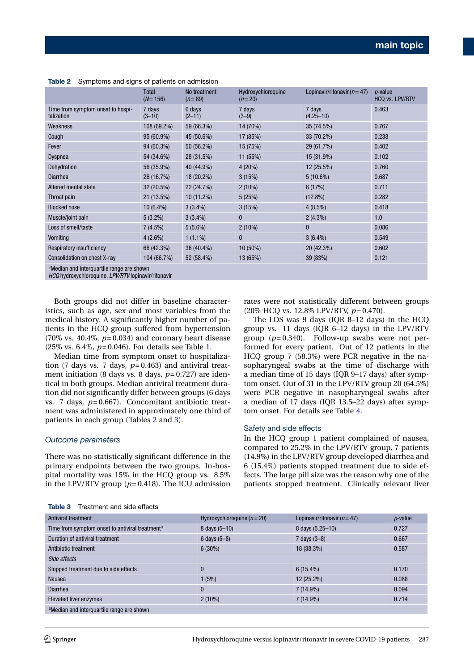|                                                                                                              | <b>Total</b><br>$(N=156)$ | No treatment<br>$(n=89)$ | Hydroxychloroquine<br>$(n=20)$ | Lopinavir/ritonavir ( $n = 47$ ) | <i>p</i> -value<br><b>HCQ vs. LPV/RTV</b> |
|--------------------------------------------------------------------------------------------------------------|---------------------------|--------------------------|--------------------------------|----------------------------------|-------------------------------------------|
| Time from symptom onset to hospi-<br>talization                                                              | 7 days<br>$(3 - 10)$      | 6 days<br>$(2 - 11)$     | 7 days<br>$(3-9)$              | 7 days<br>$(4.25 - 10)$          | 0.463                                     |
| Weakness                                                                                                     | 108 (69.2%)               | 59 (66.3%)               | 14 (70%)                       | 35 (74.5%)                       | 0.767                                     |
| Cough                                                                                                        | 95 (60.9%)                | 45 (50.6%)               | 17 (85%)                       | 33 (70.2%)                       | 0.238                                     |
| Fever                                                                                                        | 94 (60.3%)                | 50 (56.2%)               | 15 (75%)                       | 29 (61.7%)                       | 0.402                                     |
| Dyspnea                                                                                                      | 54 (34.6%)                | 28 (31.5%)               | 11 (55%)                       | 15 (31.9%)                       | 0.102                                     |
| Dehydration                                                                                                  | 56 (35.9%)                | 40 (44.9%)               | 4(20%)                         | 12 (25.5%)                       | 0.760                                     |
| <b>Diarrhea</b>                                                                                              | 26 (16.7%)                | 18 (20.2%)               | 3(15%)                         | $5(10.6\%)$                      | 0.687                                     |
| Altered mental state                                                                                         | 32 (20.5%)                | 22 (24.7%)               | $2(10\%)$                      | 8(17%)                           | 0.711                                     |
| Throat pain                                                                                                  | 21 (13.5%)                | 10 (11.2%)               | 5(25%)                         | $(12.8\%)$                       | 0.282                                     |
| <b>Blocked nose</b>                                                                                          | 10 (6.4%)                 | $3(3.4\%)$               | 3(15%)                         | $4(8.5\%)$                       | 0.418                                     |
| Muscle/joint pain                                                                                            | $5(3.2\%)$                | $3(3.4\%)$               | $\bf{0}$                       | $2(4.3\%)$                       | 1.0                                       |
| Loss of smell/taste                                                                                          | $7(4.5\%)$                | $5(5.6\%)$               | $2(10\%)$                      | $\mathbf{0}$                     | 0.086                                     |
| Vomiting                                                                                                     | $4(2.6\%)$                | $1(1.1\%)$               | $\mathbf{0}$                   | $3(6.4\%)$                       | 0.549                                     |
| Respiratory insufficiency                                                                                    | 66 (42.3%)                | 36 (40.4%)               | 10 (50%)                       | 20 (42.3%)                       | 0.602                                     |
| Consolidation on chest X-ray                                                                                 | 104 (66.7%)               | 52 (58.4%)               | 13 (65%)                       | 39 (83%)                         | 0.121                                     |
| <sup>a</sup> Median and interguartile range are shown<br>HCQ hydroxychloroquine, LPV/RTV lopinavir/ritonavir |                           |                          |                                |                                  |                                           |

<span id="page-3-0"></span>**Table 2** Symptoms and signs of patients on admission

Both groups did not differ in baseline characteristics, such as age, sex and most variables from the medical history. A significantly higher number of patients in the HCQ group suffered from hypertension (70% vs. 40.4%,  $p=0.034$ ) and coronary heart disease (25% vs. 6.4%, *p*= 0.046). For details see Table [1.](#page-2-0)

Median time from symptom onset to hospitalization (7 days vs. 7 days,  $p=0.463$ ) and antiviral treatment initiation (8 days vs. 8 days, *p*= 0.727) are identical in both groups. Median antiviral treatment duration did not significantly differ between groups (6 days vs. 7 days, *p*= 0.667). Concomitant antibiotic treatment was administered in approximately one third of patients in each group (Tables [2](#page-3-0) and [3\)](#page-3-1).

#### *Outcome parameters*

There was no statistically significant difference in the primary endpoints between the two groups. In-hospital mortality was 15% in the HCQ group vs. 8.5% in the LPV/RTV group ( $p=0.418$ ). The ICU admission rates were not statistically different between groups (20% HCQ vs. 12.8% LPV/RTV, *p*= 0.470).

The LOS was 9 days (IQR 8–12 days) in the HCQ group vs. 11 days (IQR 6–12 days) in the LPV/RTV group (*p*= 0.340). Follow-up swabs were not performed for every patient. Out of 12 patients in the HCQ group 7 (58.3%) were PCR negative in the nasopharyngeal swabs at the time of discharge with a median time of 15 days (IQR 9–17 days) after symptom onset. Out of 31 in the LPV/RTV group 20 (64.5%) were PCR negative in nasopharyngeal swabs after a median of 17 days (IQR 13.5–22 days) after symptom onset. For details see Table [4.](#page-4-0)

#### Safety and side effects

In the HCQ group 1 patient complained of nausea, compared to 25.2% in the LPV/RTV group, 7 patients (14.9%) in the LPV/RTV group developed diarrhea and 6 (15.4%) patients stopped treatment due to side effects. The large pill size was the reason why one of the patients stopped treatment. Clinically relevant liver

| Table 3 | Treatment and side effects |  |
|---------|----------------------------|--|
|         |                            |  |

<span id="page-3-1"></span>

| Antiviral treatment                                         | Hydroxychloroquine $(n=20)$ | Lopinavir/ritonavir ( $n = 47$ ) | $p$ -value |  |  |
|-------------------------------------------------------------|-----------------------------|----------------------------------|------------|--|--|
| Time from symptom onset to antiviral treatment <sup>a</sup> | 8 days (5-10)               | 8 days (5.25-10)                 | 0.727      |  |  |
| Duration of antiviral treatment                             | 6 days $(5-8)$              | 7 days $(3-8)$                   | 0.667      |  |  |
| Antibiotic treatment                                        | $6(30\%)$                   | 18 (38.3%)                       | 0.587      |  |  |
| Side effects                                                |                             |                                  |            |  |  |
| Stopped treatment due to side effects                       | $\bf{0}$                    | $6(15.4\%)$                      | 0.170      |  |  |
| <b>Nausea</b>                                               | 1(5%)                       | $12(25.2\%)$                     | 0.088      |  |  |
| Diarrhea                                                    | $\bf{0}$                    | $7(14.9\%)$                      | 0.094      |  |  |
| <b>Elevated liver enzymes</b>                               | $2(10\%)$                   | $7(14.9\%)$                      | 0.714      |  |  |
| <sup>a</sup> Median and interquartile range are shown       |                             |                                  |            |  |  |
|                                                             |                             |                                  |            |  |  |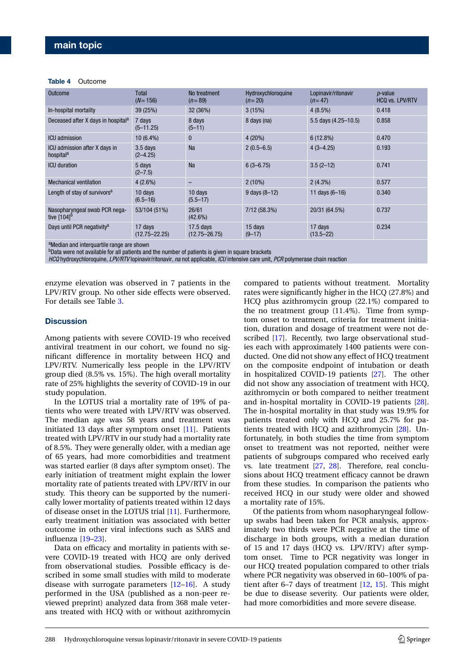#### <span id="page-4-0"></span>**Table 4** Outcome

| <b>Outcome</b>                                             | Total<br>$(N=156)$           | No treatment<br>$(n=89)$         | Hydroxychloroquine<br>$(n=20)$ | Lopinavir/ritonavir<br>$(n=47)$ | <i>p</i> -value<br>HCQ vs. LPV/RTV |
|------------------------------------------------------------|------------------------------|----------------------------------|--------------------------------|---------------------------------|------------------------------------|
| In-hospital mortality                                      | 39 (25%)                     | 32 (36%)                         | 3(15%)                         | $4(8.5\%)$                      | 0.418                              |
| Deceased after X days in hospital <sup>a</sup>             | 7 days<br>$(5 - 11.25)$      | 8 days<br>$(5 - 11)$             | 8 days (na)                    | 5.5 days (4.25-10.5)            | 0.858                              |
| <b>ICU</b> admission                                       | 10 (6.4%)                    | $\mathbf{0}$                     | $4(20\%)$                      | 6(12.8%)                        | 0.470                              |
| ICU admission after X days in<br>hospital <sup>a</sup>     | $3.5$ days<br>$(2 - 4.25)$   | <b>Na</b>                        | $2(0.5-6.5)$                   | $4(3-4.25)$                     | 0.193                              |
| <b>ICU</b> duration                                        | 5 days<br>$(2 - 7.5)$        | <b>Na</b>                        | $6(3 - 6.75)$                  | $3.5(2-12)$                     | 0.741                              |
| <b>Mechanical ventilation</b>                              | $4(2.6\%)$                   |                                  | $2(10\%)$                      | $2(4.3\%)$                      | 0.577                              |
| Length of stay of survivors <sup>a</sup>                   | 10 days<br>$(6.5 - 16)$      | 10 days<br>$(5.5 - 17)$          | $9$ days $(8-12)$              | 11 days $(6-16)$                | 0.340                              |
| Nasopharyngeal swab PCR nega-<br>tive $[104]$ <sup>b</sup> | 53/104 (51%)                 | 26/61<br>$(42.6\%)$              | 7/12(58.3%)                    | 20/31 (64.5%)                   | 0.737                              |
| Days until PCR negativity <sup>a</sup>                     | 17 days<br>$(12.75 - 22.25)$ | $17.5$ days<br>$(12.75 - 26.75)$ | 15 days<br>$(9 - 17)$          | 17 days<br>$(13.5 - 22)$        | 0.234                              |
|                                                            |                              |                                  |                                |                                 |                                    |

aMedian and interquartile range are shown

<sup>b</sup>Data were not available for all patients and the number of patients is given in square brackets

*HCQ* hydroxychloroquine, *LPV/RTV* lopinavir/ritonavir, *na* not applicable, *ICU* intensive care unit, *PCR* polymerase chain reaction

enzyme elevation was observed in 7 patients in the LPV/RTV group. No other side effects were observed. For details see Table [3.](#page-3-1)

#### **Discussion**

Among patients with severe COVID-19 who received antiviral treatment in our cohort, we found no significant difference in mortality between HCQ and LPV/RTV. Numerically less people in the LPV/RTV group died (8.5% vs. 15%). The high overall mortality rate of 25% highlights the severity of COVID-19 in our study population.

In the LOTUS trial a mortality rate of 19% of patients who were treated with LPV/RTV was observed. The median age was 58 years and treatment was initiated 13 days after symptom onset [\[11\]](#page-6-5). Patients treated with LPV/RTV in our study had a mortality rate of 8.5%. They were generally older, with a median age of 65 years, had more comorbidities and treatment was started earlier (8 days after symptom onset). The early initiation of treatment might explain the lower mortality rate of patients treated with LPV/RTV in our study. This theory can be supported by the numerically lower mortality of patients treated within 12 days of disease onset in the LOTUS trial [\[11\]](#page-6-5). Furthermore, early treatment initiation was associated with better outcome in other viral infections such as SARS and influenza [\[19](#page-6-14)[–23\]](#page-6-15).

Data on efficacy and mortality in patients with severe COVID-19 treated with HCQ are only derived from observational studies. Possible efficacy is described in some small studies with mild to moderate disease with surrogate parameters [\[12](#page-6-6)[–16\]](#page-6-16). A study performed in the USA (published as a non-peer reviewed preprint) analyzed data from 368 male veterans treated with HCQ with or without azithromycin compared to patients without treatment. Mortality rates were significantly higher in the HCQ (27.8%) and HCQ plus azithromycin group (22.1%) compared to the no treatment group (11.4%). Time from symptom onset to treatment, criteria for treatment initiation, duration and dosage of treatment were not described [\[17\]](#page-6-9). Recently, two large observational studies each with approximately 1400 patients were conducted. One did not show any effect of HCQ treatment on the composite endpoint of intubation or death in hospitalized COVID-19 patients [\[27\]](#page-6-10). The other did not show any association of treatment with HCQ, azithromycin or both compared to neither treatment and in-hospital mortality in COVID-19 patients [\[28\]](#page-6-11). The in-hospital mortality in that study was 19.9% for patients treated only with HCQ and 25.7% for patients treated with HCQ and azithromycin [\[28\]](#page-6-11). Unfortunately, in both studies the time from symptom onset to treatment was not reported, neither were patients of subgroups compared who received early vs. late treatment [\[27,](#page-6-10) [28\]](#page-6-11). Therefore, real conclusions about HCQ treatment efficacy cannot be drawn from these studies. In comparison the patients who received HCQ in our study were older and showed a mortality rate of 15%.

Of the patients from whom nasopharyngeal followup swabs had been taken for PCR analysis, approximately two thirds were PCR negative at the time of discharge in both groups, with a median duration of 15 and 17 days (HCQ vs. LPV/RTV) after symptom onset. Time to PCR negativity was longer in our HCQ treated population compared to other trials where PCR negativity was observed in 60–100% of patient after 6–7 days of treatment [\[12,](#page-6-6) [15\]](#page-6-8). This might be due to disease severity. Our patients were older, had more comorbidities and more severe disease.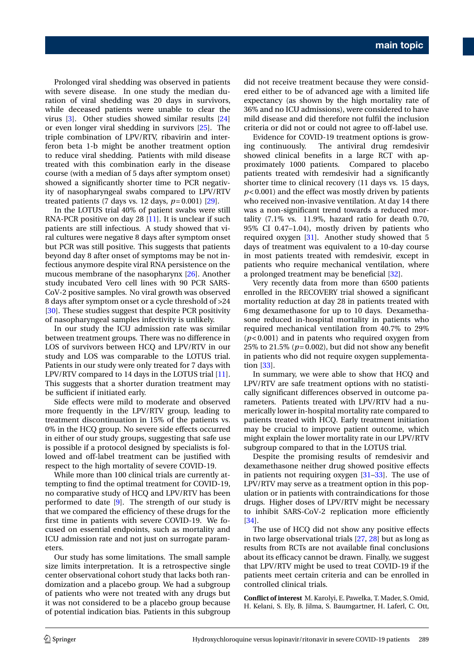Prolonged viral shedding was observed in patients with severe disease. In one study the median duration of viral shedding was 20 days in survivors, while deceased patients were unable to clear the virus [\[3\]](#page-6-17). Other studies showed similar results [\[24\]](#page-6-18) or even longer viral shedding in survivors [\[25\]](#page-6-19). The triple combination of LPV/RTV, ribavirin and interferon beta 1-b might be another treatment option to reduce viral shedding. Patients with mild disease treated with this combination early in the disease course (with a median of 5 days after symptom onset) showed a significantly shorter time to PCR negativity of nasopharyngeal swabs compared to LPV/RTV treated patients (7 days vs. 12 days, *p*= 0.001) [\[29\]](#page-6-20).

In the LOTUS trial 40% of patient swabs were still RNA-PCR positive on day 28 [\[11\]](#page-6-5). It is unclear if such patients are still infectious. A study showed that viral cultures were negative 8 days after symptom onset but PCR was still positive. This suggests that patients beyond day 8 after onset of symptoms may be not infectious anymore despite viral RNA persistence on the mucous membrane of the nasopharynx [\[26\]](#page-6-21). Another study incubated Vero cell lines with 90 PCR SARS-CoV-2 positive samples. No viral growth was observed 8 days after symptom onset or a cycle threshold of >24 [\[30\]](#page-6-22). These studies suggest that despite PCR positivity of nasopharyngeal samples infectivity is unlikely.

In our study the ICU admission rate was similar between treatment groups. There was no difference in LOS of survivors between HCQ and LPV/RTV in our study and LOS was comparable to the LOTUS trial. Patients in our study were only treated for 7 days with LPV/RTV compared to 14 days in the LOTUS trial [\[11\]](#page-6-5). This suggests that a shorter duration treatment may be sufficient if initiated early.

Side effects were mild to moderate and observed more frequently in the LPV/RTV group, leading to treatment discontinuation in 15% of the patients vs. 0% in the HCQ group. No severe side effects occurred in either of our study groups, suggesting that safe use is possible if a protocol designed by specialists is followed and off-label treatment can be justified with respect to the high mortality of severe COVID-19.

While more than 100 clinical trials are currently attempting to find the optimal treatment for COVID-19, no comparative study of HCQ and LPV/RTV has been performed to date [\[9\]](#page-6-12). The strength of our study is that we compared the efficiency of these drugs for the first time in patients with severe COVID-19. We focused on essential endpoints, such as mortality and ICU admission rate and not just on surrogate parameters.

Our study has some limitations. The small sample size limits interpretation. It is a retrospective single center observational cohort study that lacks both randomization and a placebo group. We had a subgroup of patients who were not treated with any drugs but it was not considered to be a placebo group because of potential indication bias. Patients in this subgroup did not receive treatment because they were considered either to be of advanced age with a limited life expectancy (as shown by the high mortality rate of 36% and no ICU admissions), were considered to have mild disease and did therefore not fulfil the inclusion criteria or did not or could not agree to off-label use.

Evidence for COVID-19 treatment options is growing continuously. The antiviral drug remdesivir showed clinical benefits in a large RCT with approximately 1000 patients. Compared to placebo patients treated with remdesivir had a significantly shorter time to clinical recovery (11 days vs. 15 days, *p*< 0.001) and the effect was mostly driven by patients who received non-invasive ventilation. At day 14 there was a non-significant trend towards a reduced mortality (7.1% vs. 11.9%, hazard ratio for death 0.70, 95% CI 0.47–1.04), mostly driven by patients who required oxygen [\[31\]](#page-6-23). Another study showed that 5 days of treatment was equivalent to a 10-day course in most patients treated with remdesivir, except in patients who require mechanical ventilation, where a prolonged treatment may be beneficial [\[32\]](#page-7-0).

Very recently data from more than 6500 patients enrolled in the RECOVERY trial showed a significant mortality reduction at day 28 in patients treated with 6mg dexamethasone for up to 10 days. Dexamethasone reduced in-hospital mortality in patients who required mechanical ventilation from 40.7% to 29% (*p*< 0.001) and in patents who required oxygen from 25% to 21.5% ( $p=0.002$ ), but did not show any benefit in patients who did not require oxygen supplementation [\[33\]](#page-7-1).

In summary, we were able to show that HCQ and LPV/RTV are safe treatment options with no statistically significant differences observed in outcome parameters. Patients treated with LPV/RTV had a numerically lower in-hospital mortality rate compared to patients treated with HCQ. Early treatment initiation may be crucial to improve patient outcome, which might explain the lower mortality rate in our LPV/RTV subgroup compared to that in the LOTUS trial.

Despite the promising results of remdesivir and dexamethasone neither drug showed positive effects in patients not requiring oxygen [\[31–](#page-6-23)[33\]](#page-7-1). The use of LPV/RTV may serve as a treatment option in this population or in patients with contraindications for those drugs. Higher doses of LPV/RTV might be necessary to inhibit SARS-CoV-2 replication more efficiently [\[34\]](#page-7-2).

The use of HCQ did not show any positive effects in two large observational trials [\[27,](#page-6-10) [28\]](#page-6-11) but as long as results from RCTs are not available final conclusions about its efficacy cannot be drawn. Finally, we suggest that LPV/RTV might be used to treat COVID-19 if the patients meet certain criteria and can be enrolled in controlled clinical trials.

**Conflict of interest** M. Karolyi, E. Pawelka, T. Mader, S. Omid, H. Kelani, S. Ely, B. Jilma, S. Baumgartner, H. Laferl, C. Ott,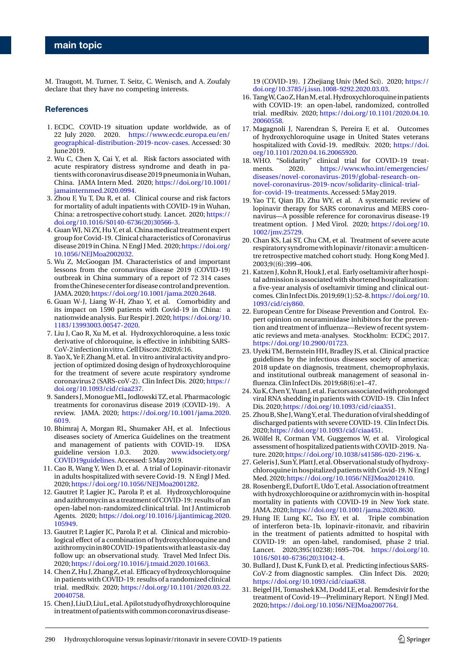M. Traugott, M. Turner, T. Seitz, C. Wenisch, and A. Zoufaly declare that they have no competing interests.

#### <span id="page-6-0"></span>**References**

- 1. ECDC. COVID-19 situation update worldwide, as of 22 July 2020. 2020. [https://www.ecdc.europa.eu/en/](https://www.ecdc.europa.eu/en/geographical-distribution-2019-ncov-cases) [geographical-distribution-2019-ncov-cases.](https://www.ecdc.europa.eu/en/geographical-distribution-2019-ncov-cases) Accessed: 30 June 2019.
- <span id="page-6-1"></span>2. Wu C, Chen X, Cai Y, et al. Risk factors associated with acute respiratory distress syndrome and death in patients with coronavirus disease 2019 pneumoniainWuhan, China. JAMA Intern Med. 2020; [https://doi.org/10.1001/](https://doi.org/10.1001/jamainternmed.2020.0994) [jamainternmed.2020.0994.](https://doi.org/10.1001/jamainternmed.2020.0994)
- <span id="page-6-17"></span>3. Zhou F, Yu T, Du R, et al. Clinical course and risk factors for mortality of adult inpatients with COVID-19 in Wuhan, China: a retrospective cohort study. Lancet. 2020; [https://](https://doi.org/10.1016/S0140-6736(20)30566-3) [doi.org/10.1016/S0140-6736\(20\)30566-3.](https://doi.org/10.1016/S0140-6736(20)30566-3)
- 4. Guan WJ, Ni ZY, Hu Y, et al. China medical treatment expert group for Covid-19. Clinical characteristics of Coronavirus disease 2019 in China. N Engl J Med. 2020; [https://doi.org/](https://doi.org/10.1056/NEJMoa2002032) [10.1056/NEJMoa2002032.](https://doi.org/10.1056/NEJMoa2002032)
- 5. Wu Z, McGoogan JM. Characteristics of and important lessons from the coronavirus disease 2019 (COVID-19) outbreak in China summary of a report of 72 314 cases from theChinesecenter fordiseasecontrol andprevention. JAMA. 2020;[https://doi.org/10.1001/jama.2020.2648.](https://doi.org/10.1001/jama.2020.2648)
- <span id="page-6-2"></span>6. Guan W-J, Liang W-H, Zhao Y, et al. Comorbidity and its impact on 1590 patients with Covid-19 in China: a nationwide analysis. Eur Respir J. 2020; [https://doi.org/10.](https://doi.org/10.1183/13993003.00547-2020) [1183/13993003.00547-2020.](https://doi.org/10.1183/13993003.00547-2020)
- <span id="page-6-3"></span>7. Liu J, Cao R, Xu M, et al. Hydroxychloroquine, a less toxic derivative of chloroquine, is effective in inhibiting SARS-CoV-2infectionin vitro. CellDiscov. 2020;6:16.
- 8. Yao X, Ye F, ZhangM, et al. In vitro antiviral activity and projection of optimized dosing design of hydroxychloroquine for the treatment of severe acute respiratory syndrome coronavirus 2 (SARS-coV-2). Clin Infect Dis. 2020; [https://](https://doi.org/10.1093/cid/ciaa237) [doi.org/10.1093/cid/ciaa237.](https://doi.org/10.1093/cid/ciaa237)
- <span id="page-6-12"></span>9. Sanders J, Monogue ML, Jodlowski TZ, et al. Pharmacologic treatments for coronavirus disease 2019 (COVID-19). A review. JAMA. 2020; [https://doi.org/10.1001/jama.2020.](https://doi.org/10.1001/jama.2020.6019) [6019.](https://doi.org/10.1001/jama.2020.6019)
- <span id="page-6-4"></span>10. Bhimraj A, Morgan RL, Shumaker AH, et al. Infectious diseases society of America Guidelines on the treatment and management of patients with COVID-19. IDSA guideline version 1.0.3. 2020. [www.idsociety.org/](http://www.idsociety.org/COVID19guidelines) [COVID19guidelines.](http://www.idsociety.org/COVID19guidelines) Accessed: 5May 2019.
- <span id="page-6-5"></span>11. Cao B, Wang Y, Wen D, et al. A trial of Lopinavir-ritonavir in adults hospitalized with severe Covid-19. N Engl J Med. 2020;[https://doi.org/10.1056/NEJMoa2001282.](https://doi.org/10.1056/NEJMoa2001282)
- <span id="page-6-6"></span>12. Gautret P, Lagier JC, Parola P, et al. Hydroxychloroquine and azithromycin as a treatment of COVID-19: results of an open-label non-randomized clinical trial. Int J Antimicrob Agents. 2020; [https://doi.org/10.1016/j.ijantimicag.2020.](https://doi.org/10.1016/j.ijantimicag.2020.105949) [105949.](https://doi.org/10.1016/j.ijantimicag.2020.105949)
- 13. Gautret P, Lagier JC, Parola P, et al. Clinical and microbiological effect of a combination of hydroxychloroquine and azithromycinin80COVID-19patientswithatleastasix-day follow up: an observational study. Travel Med Infect Dis. 2020;[https://doi.org/10.1016/j.tmaid.2020.101663.](https://doi.org/10.1016/j.tmaid.2020.101663)
- <span id="page-6-7"></span>14. Chen Z,Hu J, Zhang Z, et al. Efficacy of hydroxychloroquine in patients with COVID-19: results of a randomized clinical trial. medRxiv. 2020; [https://doi.org/10.1101/2020.03.22.](https://doi.org/10.1101/2020.03.22.20040758) [20040758.](https://doi.org/10.1101/2020.03.22.20040758)
- <span id="page-6-8"></span>15. ChenJ,LiuD,LiuL,etal. Apilotstudyofhydroxychloroquine in treatment of patients with common coronavirus disease-

19 (COVID-19). J Zhejiang Univ (Med Sci). 2020; [https://](https://doi.org/10.3785/j.issn.1008-9292.2020.03.03) [doi.org/10.3785/j.issn.1008-9292.2020.03.03.](https://doi.org/10.3785/j.issn.1008-9292.2020.03.03)

- <span id="page-6-16"></span>16. TangW,CaoZ,HanM,etal. Hydroxychloroquineinpatients with COVID-19: an open-label, randomized, controlled trial. medRxiv. 2020; [https://doi.org/10.1101/2020.04.10.](https://doi.org/10.1101/2020.04.10.20060558) [20060558.](https://doi.org/10.1101/2020.04.10.20060558)
- <span id="page-6-9"></span>17. Magagnoli J, Narendran S, Pereira F, et al. Outcomes of hydroxychloroquine usage in United States veterans hospitalized with Covid-19. medRxiv. 2020; [https://doi.](https://doi.org/10.1101/2020.04.16.20065920) [org/10.1101/2020.04.16.20065920.](https://doi.org/10.1101/2020.04.16.20065920)
- <span id="page-6-13"></span>18. WHO. "Solidarity" clinical trial for COVID-19 treatments. 2020. [https://www.who.int/emergencies/](https://www.who.int/emergencies/diseases/novel-coronavirus-2019/global-research-on-novel-coronavirus-2019-ncov/solidarity-clinical-trial-for-covid-19-treatments) [diseases/novel-coronavirus-2019/global-research-on](https://www.who.int/emergencies/diseases/novel-coronavirus-2019/global-research-on-novel-coronavirus-2019-ncov/solidarity-clinical-trial-for-covid-19-treatments)[novel-coronavirus-2019-ncov/solidarity-clinical-trial](https://www.who.int/emergencies/diseases/novel-coronavirus-2019/global-research-on-novel-coronavirus-2019-ncov/solidarity-clinical-trial-for-covid-19-treatments)[for-covid-19-treatments.](https://www.who.int/emergencies/diseases/novel-coronavirus-2019/global-research-on-novel-coronavirus-2019-ncov/solidarity-clinical-trial-for-covid-19-treatments) Accessed: 5May 2019.
- <span id="page-6-14"></span>19. Yao TT, Qian JD, Zhu WY, et al. A systematic review of lopinavir therapy for SARS coronavirus and MERS coronavirus—A possible reference for coronavirus disease-19 treatment option. J Med Virol. 2020; [https://doi.org/10.](https://doi.org/10.1002/jmv.25729) [1002/jmv.25729.](https://doi.org/10.1002/jmv.25729)
- 20. Chan KS, Lai ST, Chu CM, et al. Treatment of severe acute respiratory syndromewithlopinavir/ritonavir: amulticentre retrospective matched cohort study. Hong Kong Med J. 2003;9((6):399–406.
- 21. Katzen J, Kohn R, Houk J, et al. Early oseltamivir after hospital admission is associated with shortened hospitalization: a five-year analysis of oseltamivir timing and clinical outcomes. Clin InfectDis. 2019;69(1):52–8[.https://doi.org/10.](https://doi.org/10.1093/cid/ciy860) [1093/cid/ciy860.](https://doi.org/10.1093/cid/ciy860)
- 22. European Centre for Disease Prevention and Control. Expert opinion on neuraminidase inhibitors for the prevention and treatment of influenza—Review of recent systematic reviews and meta-analyses. Stockholm: ECDC; 2017. [https://doi.org/10.2900/01723.](https://doi.org/10.2900/01723)
- <span id="page-6-15"></span>23. Uyeki TM, Bernstein HH, Bradley JS, et al. Clinical practice guidelines by the infectious diseases society of america: 2018 update on diagnosis, treatment, chemoprophylaxis, and institutional outbreak management of seasonal influenza. Clin InfectDis. 2019;68(6):e1–47.
- <span id="page-6-18"></span>24. XuK,ChenY,Yuan J,etal. Factorsassociatedwithprolonged viral RNA shedding in patients with COVID-19. Clin Infect Dis. 2020[;https://doi.org/10.1093/cid/ciaa351.](https://doi.org/10.1093/cid/ciaa351)
- <span id="page-6-19"></span>25. ZhouB, She J,WangY, et al. Theduration of viral sheddingof discharged patients with severe COVID-19. Clin Infect Dis. 2020[;https://doi.org/10.1093/cid/ciaa451.](https://doi.org/10.1093/cid/ciaa451)
- <span id="page-6-21"></span>26. Wölfel R, Corman VM, Guggemos W, et al. Virological assessment of hospitalized patients with COVID-2019. Nature. 2020[;https://doi.org/10.1038/s41586-020-2196-x.](https://doi.org/10.1038/s41586-020-2196-x)
- <span id="page-6-10"></span>27. Geleris J, SunY,Platt J, et al. Observational studyofhydroxychloroquine in hospitalized patients with Covid-19. N Eng J Med. 2020;[https://doi.org/10.1056/NEJMoa2012410.](https://doi.org/10.1056/NEJMoa2012410)
- <span id="page-6-11"></span>28. Rosenberg E, Dufort E, Udo T, et al. Association of treatment with hydroxychloroquine or azithromycin with in-hospital mortality in patients with COVID-19 in New York state. JAMA. 2020[;https://doi.org/10.1001/jama.2020.8630.](https://doi.org/10.1001/jama.2020.8630)
- <span id="page-6-20"></span>29. Hung IF, Lung KC, Tso EY, et al. Triple combination of interferon beta-1b, lopinavir-ritonavir, and ribavirin in the treatment of patients admitted to hospital with COVID-19: an open-label, randomised, phase 2 trial. Lancet. 2020;395(10238):1695–704. [https://doi.org/10.](https://doi.org/10.1016/S0140-6736(20)31042-4) [1016/S0140-6736\(20\)31042-4.](https://doi.org/10.1016/S0140-6736(20)31042-4)
- <span id="page-6-22"></span>30. Bullard J, Dust K, Funk D, et al. Predicting infectious SARS-CoV-2 from diagnostic samples. Clin Infect Dis. 2020; [https://doi.org/10.1093/cid/ciaa638.](https://doi.org/10.1093/cid/ciaa638)
- <span id="page-6-23"></span>31. Beigel JH, Tomashek KM, Dodd LE, et al. Remdesivir for the treatment of Covid-19—Preliminary Report. N Engl J Med. 2020[;https://doi.org/10.1056/NEJMoa2007764.](https://doi.org/10.1056/NEJMoa2007764)